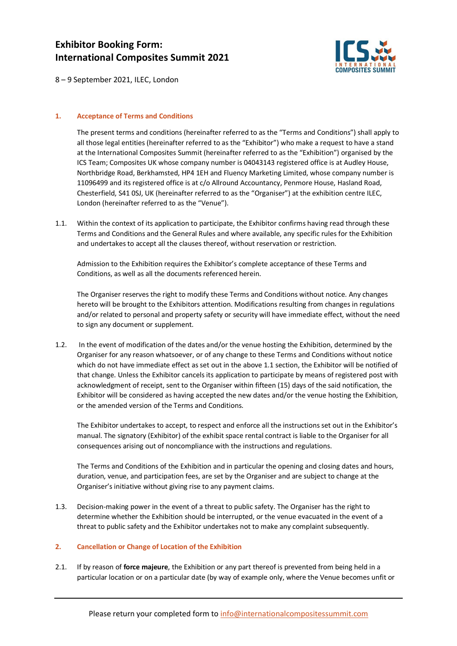## **Exhibitor Booking Form: International Composites Summit 2021**



8 – 9 September 2021, ILEC, London

#### **1. Acceptance of Terms and Conditions**

The present terms and conditions (hereinafter referred to as the "Terms and Conditions") shall apply to all those legal entities (hereinafter referred to as the "Exhibitor") who make a request to have a stand at the International Composites Summit (hereinafter referred to as the "Exhibition") organised by the ICS Team; Composites UK whose company number is 04043143 registered office is at Audley House, Northbridge Road, Berkhamsted, HP4 1EH and Fluency Marketing Limited, whose company number is 11096499 and its registered office is at c/o Allround Accountancy, Penmore House, Hasland Road, Chesterfield, S41 0SJ, UK (hereinafter referred to as the "Organiser") at the exhibition centre ILEC, London (hereinafter referred to as the "Venue").

1.1. Within the context of its application to participate, the Exhibitor confirms having read through these Terms and Conditions and the General Rules and where available, any specific rules for the Exhibition and undertakes to accept all the clauses thereof, without reservation or restriction.

Admission to the Exhibition requires the Exhibitor's complete acceptance of these Terms and Conditions, as well as all the documents referenced herein.

The Organiser reserves the right to modify these Terms and Conditions without notice. Any changes hereto will be brought to the Exhibitors attention. Modifications resulting from changes in regulations and/or related to personal and property safety or security will have immediate effect, without the need to sign any document or supplement.

1.2. In the event of modification of the dates and/or the venue hosting the Exhibition, determined by the Organiser for any reason whatsoever, or of any change to these Terms and Conditions without notice which do not have immediate effect as set out in the above 1.1 section, the Exhibitor will be notified of that change. Unless the Exhibitor cancels its application to participate by means of registered post with acknowledgment of receipt, sent to the Organiser within fifteen (15) days of the said notification, the Exhibitor will be considered as having accepted the new dates and/or the venue hosting the Exhibition, or the amended version of the Terms and Conditions.

The Exhibitor undertakes to accept, to respect and enforce all the instructions set out in the Exhibitor's manual. The signatory (Exhibitor) of the exhibit space rental contract is liable to the Organiser for all consequences arising out of noncompliance with the instructions and regulations.

The Terms and Conditions of the Exhibition and in particular the opening and closing dates and hours, duration, venue, and participation fees, are set by the Organiser and are subject to change at the Organiser's initiative without giving rise to any payment claims.

1.3. Decision-making power in the event of a threat to public safety. The Organiser has the right to determine whether the Exhibition should be interrupted, or the venue evacuated in the event of a threat to public safety and the Exhibitor undertakes not to make any complaint subsequently.

#### **2. Cancellation or Change of Location of the Exhibition**

2.1. If by reason of **force majeure**, the Exhibition or any part thereof is prevented from being held in a particular location or on a particular date (by way of example only, where the Venue becomes unfit or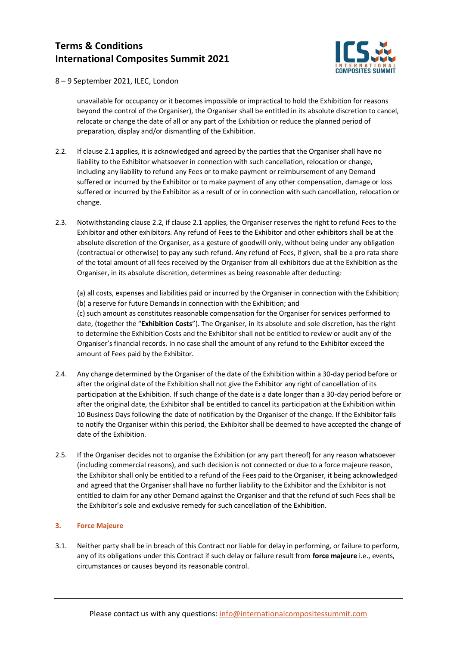

8 – 9 September 2021, ILEC, London

unavailable for occupancy or it becomes impossible or impractical to hold the Exhibition for reasons beyond the control of the Organiser), the Organiser shall be entitled in its absolute discretion to cancel, relocate or change the date of all or any part of the Exhibition or reduce the planned period of preparation, display and/or dismantling of the Exhibition.

- 2.2. If clause 2.1 applies, it is acknowledged and agreed by the parties that the Organiser shall have no liability to the Exhibitor whatsoever in connection with such cancellation, relocation or change, including any liability to refund any Fees or to make payment or reimbursement of any Demand suffered or incurred by the Exhibitor or to make payment of any other compensation, damage or loss suffered or incurred by the Exhibitor as a result of or in connection with such cancellation, relocation or change.
- 2.3. Notwithstanding clause 2.2, if clause 2.1 applies, the Organiser reserves the right to refund Fees to the Exhibitor and other exhibitors. Any refund of Fees to the Exhibitor and other exhibitors shall be at the absolute discretion of the Organiser, as a gesture of goodwill only, without being under any obligation (contractual or otherwise) to pay any such refund. Any refund of Fees, if given, shall be a pro rata share of the total amount of all fees received by the Organiser from all exhibitors due at the Exhibition as the Organiser, in its absolute discretion, determines as being reasonable after deducting:

(a) all costs, expenses and liabilities paid or incurred by the Organiser in connection with the Exhibition; (b) a reserve for future Demands in connection with the Exhibition; and (c) such amount as constitutes reasonable compensation for the Organiser for services performed to date, (together the "**Exhibition Costs**"). The Organiser, in its absolute and sole discretion, has the right to determine the Exhibition Costs and the Exhibitor shall not be entitled to review or audit any of the Organiser's financial records. In no case shall the amount of any refund to the Exhibitor exceed the amount of Fees paid by the Exhibitor.

- 2.4. Any change determined by the Organiser of the date of the Exhibition within a 30-day period before or after the original date of the Exhibition shall not give the Exhibitor any right of cancellation of its participation at the Exhibition. If such change of the date is a date longer than a 30-day period before or after the original date, the Exhibitor shall be entitled to cancel its participation at the Exhibition within 10 Business Days following the date of notification by the Organiser of the change. If the Exhibitor fails to notify the Organiser within this period, the Exhibitor shall be deemed to have accepted the change of date of the Exhibition.
- 2.5. If the Organiser decides not to organise the Exhibition (or any part thereof) for any reason whatsoever (including commercial reasons), and such decision is not connected or due to a force majeure reason, the Exhibitor shall only be entitled to a refund of the Fees paid to the Organiser, it being acknowledged and agreed that the Organiser shall have no further liability to the Exhibitor and the Exhibitor is not entitled to claim for any other Demand against the Organiser and that the refund of such Fees shall be the Exhibitor's sole and exclusive remedy for such cancellation of the Exhibition.

### **3. Force Majeure**

3.1. Neither party shall be in breach of this Contract nor liable for delay in performing, or failure to perform, any of its obligations under this Contract if such delay or failure result from **force majeure** i.e., events, circumstances or causes beyond its reasonable control.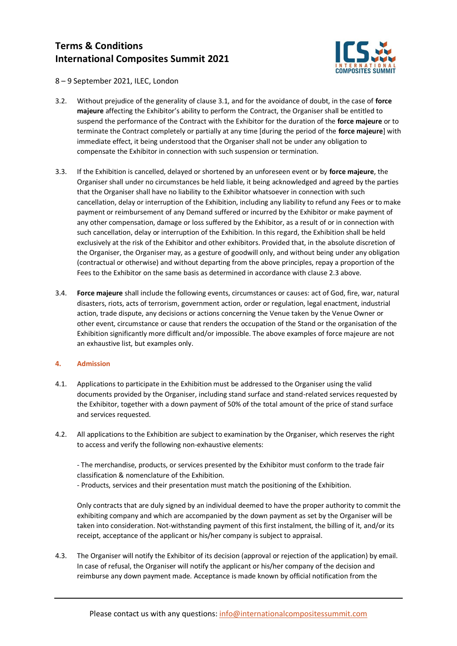

8 – 9 September 2021, ILEC, London

- 3.2. Without prejudice of the generality of clause 3.1, and for the avoidance of doubt, in the case of **force majeure** affecting the Exhibitor's ability to perform the Contract, the Organiser shall be entitled to suspend the performance of the Contract with the Exhibitor for the duration of the **force majeure** or to terminate the Contract completely or partially at any time [during the period of the **force majeure**] with immediate effect, it being understood that the Organiser shall not be under any obligation to compensate the Exhibitor in connection with such suspension or termination.
- 3.3. If the Exhibition is cancelled, delayed or shortened by an unforeseen event or by **force majeure**, the Organiser shall under no circumstances be held liable, it being acknowledged and agreed by the parties that the Organiser shall have no liability to the Exhibitor whatsoever in connection with such cancellation, delay or interruption of the Exhibition, including any liability to refund any Fees or to make payment or reimbursement of any Demand suffered or incurred by the Exhibitor or make payment of any other compensation, damage or loss suffered by the Exhibitor, as a result of or in connection with such cancellation, delay or interruption of the Exhibition. In this regard, the Exhibition shall be held exclusively at the risk of the Exhibitor and other exhibitors. Provided that, in the absolute discretion of the Organiser, the Organiser may, as a gesture of goodwill only, and without being under any obligation (contractual or otherwise) and without departing from the above principles, repay a proportion of the Fees to the Exhibitor on the same basis as determined in accordance with clause 2.3 above.
- 3.4. **Force majeure** shall include the following events, circumstances or causes: act of God, fire, war, natural disasters, riots, acts of terrorism, government action, order or regulation, legal enactment, industrial action, trade dispute, any decisions or actions concerning the Venue taken by the Venue Owner or other event, circumstance or cause that renders the occupation of the Stand or the organisation of the Exhibition significantly more difficult and/or impossible. The above examples of force majeure are not an exhaustive list, but examples only.

### **4. Admission**

- 4.1. Applications to participate in the Exhibition must be addressed to the Organiser using the valid documents provided by the Organiser, including stand surface and stand-related services requested by the Exhibitor, together with a down payment of 50% of the total amount of the price of stand surface and services requested.
- 4.2. All applications to the Exhibition are subject to examination by the Organiser, which reserves the right to access and verify the following non-exhaustive elements:

- The merchandise, products, or services presented by the Exhibitor must conform to the trade fair classification & nomenclature of the Exhibition.

- Products, services and their presentation must match the positioning of the Exhibition.

Only contracts that are duly signed by an individual deemed to have the proper authority to commit the exhibiting company and which are accompanied by the down payment as set by the Organiser will be taken into consideration. Not-withstanding payment of this first instalment, the billing of it, and/or its receipt, acceptance of the applicant or his/her company is subject to appraisal.

4.3. The Organiser will notify the Exhibitor of its decision (approval or rejection of the application) by email. In case of refusal, the Organiser will notify the applicant or his/her company of the decision and reimburse any down payment made. Acceptance is made known by official notification from the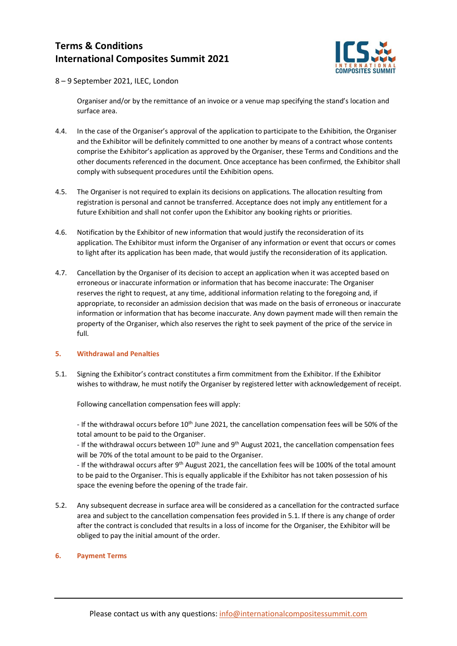

8 – 9 September 2021, ILEC, London

Organiser and/or by the remittance of an invoice or a venue map specifying the stand's location and surface area.

- 4.4. In the case of the Organiser's approval of the application to participate to the Exhibition, the Organiser and the Exhibitor will be definitely committed to one another by means of a contract whose contents comprise the Exhibitor's application as approved by the Organiser, these Terms and Conditions and the other documents referenced in the document. Once acceptance has been confirmed, the Exhibitor shall comply with subsequent procedures until the Exhibition opens.
- 4.5. The Organiser is not required to explain its decisions on applications. The allocation resulting from registration is personal and cannot be transferred. Acceptance does not imply any entitlement for a future Exhibition and shall not confer upon the Exhibitor any booking rights or priorities.
- 4.6. Notification by the Exhibitor of new information that would justify the reconsideration of its application. The Exhibitor must inform the Organiser of any information or event that occurs or comes to light after its application has been made, that would justify the reconsideration of its application.
- 4.7. Cancellation by the Organiser of its decision to accept an application when it was accepted based on erroneous or inaccurate information or information that has become inaccurate: The Organiser reserves the right to request, at any time, additional information relating to the foregoing and, if appropriate, to reconsider an admission decision that was made on the basis of erroneous or inaccurate information or information that has become inaccurate. Any down payment made will then remain the property of the Organiser, which also reserves the right to seek payment of the price of the service in full.

#### **5. Withdrawal and Penalties**

5.1. Signing the Exhibitor's contract constitutes a firm commitment from the Exhibitor. If the Exhibitor wishes to withdraw, he must notify the Organiser by registered letter with acknowledgement of receipt.

Following cancellation compensation fees will apply:

- If the withdrawal occurs before 10<sup>th</sup> June 2021, the cancellation compensation fees will be 50% of the total amount to be paid to the Organiser.

- If the withdrawal occurs between  $10<sup>th</sup>$  June and  $9<sup>th</sup>$  August 2021, the cancellation compensation fees will be 70% of the total amount to be paid to the Organiser.

- If the withdrawal occurs after 9<sup>th</sup> August 2021, the cancellation fees will be 100% of the total amount to be paid to the Organiser. This is equally applicable if the Exhibitor has not taken possession of his space the evening before the opening of the trade fair.

5.2. Any subsequent decrease in surface area will be considered as a cancellation for the contracted surface area and subject to the cancellation compensation fees provided in 5.1. If there is any change of order after the contract is concluded that results in a loss of income for the Organiser, the Exhibitor will be obliged to pay the initial amount of the order.

#### **6. Payment Terms**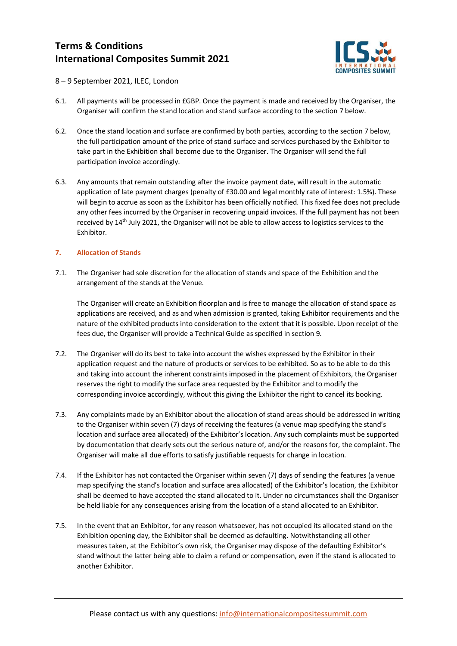

8 – 9 September 2021, ILEC, London

- 6.1. All payments will be processed in £GBP. Once the payment is made and received by the Organiser, the Organiser will confirm the stand location and stand surface according to the section 7 below.
- 6.2. Once the stand location and surface are confirmed by both parties, according to the section 7 below, the full participation amount of the price of stand surface and services purchased by the Exhibitor to take part in the Exhibition shall become due to the Organiser. The Organiser will send the full participation invoice accordingly.
- 6.3. Any amounts that remain outstanding after the invoice payment date, will result in the automatic application of late payment charges (penalty of £30.00 and legal monthly rate of interest: 1.5%). These will begin to accrue as soon as the Exhibitor has been officially notified. This fixed fee does not preclude any other fees incurred by the Organiser in recovering unpaid invoices. If the full payment has not been received by 14th July 2021, the Organiser will not be able to allow access to logistics services to the Exhibitor.

### **7. Allocation of Stands**

7.1. The Organiser had sole discretion for the allocation of stands and space of the Exhibition and the arrangement of the stands at the Venue.

The Organiser will create an Exhibition floorplan and is free to manage the allocation of stand space as applications are received, and as and when admission is granted, taking Exhibitor requirements and the nature of the exhibited products into consideration to the extent that it is possible. Upon receipt of the fees due, the Organiser will provide a Technical Guide as specified in section 9.

- 7.2. The Organiser will do its best to take into account the wishes expressed by the Exhibitor in their application request and the nature of products or services to be exhibited. So as to be able to do this and taking into account the inherent constraints imposed in the placement of Exhibitors, the Organiser reserves the right to modify the surface area requested by the Exhibitor and to modify the corresponding invoice accordingly, without this giving the Exhibitor the right to cancel its booking.
- 7.3. Any complaints made by an Exhibitor about the allocation of stand areas should be addressed in writing to the Organiser within seven (7) days of receiving the features (a venue map specifying the stand's location and surface area allocated) of the Exhibitor's location. Any such complaints must be supported by documentation that clearly sets out the serious nature of, and/or the reasons for, the complaint. The Organiser will make all due efforts to satisfy justifiable requests for change in location.
- 7.4. If the Exhibitor has not contacted the Organiser within seven (7) days of sending the features (a venue map specifying the stand's location and surface area allocated) of the Exhibitor's location, the Exhibitor shall be deemed to have accepted the stand allocated to it. Under no circumstances shall the Organiser be held liable for any consequences arising from the location of a stand allocated to an Exhibitor.
- 7.5. In the event that an Exhibitor, for any reason whatsoever, has not occupied its allocated stand on the Exhibition opening day, the Exhibitor shall be deemed as defaulting. Notwithstanding all other measures taken, at the Exhibitor's own risk, the Organiser may dispose of the defaulting Exhibitor's stand without the latter being able to claim a refund or compensation, even if the stand is allocated to another Exhibitor.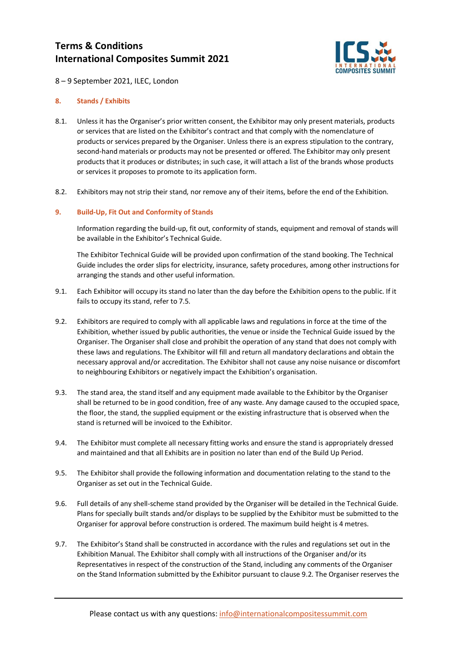

8 – 9 September 2021, ILEC, London

#### **8. Stands / Exhibits**

- 8.1. Unless it has the Organiser's prior written consent, the Exhibitor may only present materials, products or services that are listed on the Exhibitor's contract and that comply with the nomenclature of products or services prepared by the Organiser. Unless there is an express stipulation to the contrary, second-hand materials or products may not be presented or offered. The Exhibitor may only present products that it produces or distributes; in such case, it will attach a list of the brands whose products or services it proposes to promote to its application form.
- 8.2. Exhibitors may not strip their stand, nor remove any of their items, before the end of the Exhibition.

#### **9. Build-Up, Fit Out and Conformity of Stands**

Information regarding the build-up, fit out, conformity of stands, equipment and removal of stands will be available in the Exhibitor's Technical Guide.

The Exhibitor Technical Guide will be provided upon confirmation of the stand booking. The Technical Guide includes the order slips for electricity, insurance, safety procedures, among other instructions for arranging the stands and other useful information.

- 9.1. Each Exhibitor will occupy its stand no later than the day before the Exhibition opens to the public. If it fails to occupy its stand, refer to 7.5.
- 9.2. Exhibitors are required to comply with all applicable laws and regulations in force at the time of the Exhibition, whether issued by public authorities, the venue or inside the Technical Guide issued by the Organiser. The Organiser shall close and prohibit the operation of any stand that does not comply with these laws and regulations. The Exhibitor will fill and return all mandatory declarations and obtain the necessary approval and/or accreditation. The Exhibitor shall not cause any noise nuisance or discomfort to neighbouring Exhibitors or negatively impact the Exhibition's organisation.
- 9.3. The stand area, the stand itself and any equipment made available to the Exhibitor by the Organiser shall be returned to be in good condition, free of any waste. Any damage caused to the occupied space, the floor, the stand, the supplied equipment or the existing infrastructure that is observed when the stand is returned will be invoiced to the Exhibitor.
- 9.4. The Exhibitor must complete all necessary fitting works and ensure the stand is appropriately dressed and maintained and that all Exhibits are in position no later than end of the Build Up Period.
- 9.5. The Exhibitor shall provide the following information and documentation relating to the stand to the Organiser as set out in the Technical Guide.
- 9.6. Full details of any shell-scheme stand provided by the Organiser will be detailed in the Technical Guide. Plans for specially built stands and/or displays to be supplied by the Exhibitor must be submitted to the Organiser for approval before construction is ordered. The maximum build height is 4 metres.
- 9.7. The Exhibitor's Stand shall be constructed in accordance with the rules and regulations set out in the Exhibition Manual. The Exhibitor shall comply with all instructions of the Organiser and/or its Representatives in respect of the construction of the Stand, including any comments of the Organiser on the Stand Information submitted by the Exhibitor pursuant to clause 9.2. The Organiser reserves the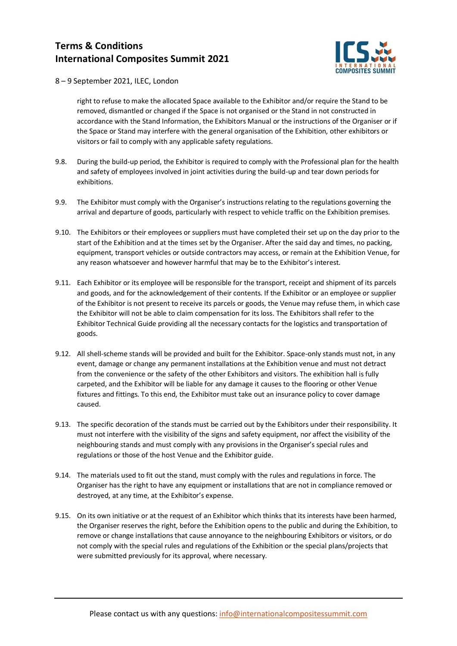

8 – 9 September 2021, ILEC, London

right to refuse to make the allocated Space available to the Exhibitor and/or require the Stand to be removed, dismantled or changed if the Space is not organised or the Stand in not constructed in accordance with the Stand Information, the Exhibitors Manual or the instructions of the Organiser or if the Space or Stand may interfere with the general organisation of the Exhibition, other exhibitors or visitors or fail to comply with any applicable safety regulations.

- 9.8. During the build-up period, the Exhibitor is required to comply with the Professional plan for the health and safety of employees involved in joint activities during the build-up and tear down periods for exhibitions.
- 9.9. The Exhibitor must comply with the Organiser's instructions relating to the regulations governing the arrival and departure of goods, particularly with respect to vehicle traffic on the Exhibition premises.
- 9.10. The Exhibitors or their employees or suppliers must have completed their set up on the day prior to the start of the Exhibition and at the times set by the Organiser. After the said day and times, no packing, equipment, transport vehicles or outside contractors may access, or remain at the Exhibition Venue, for any reason whatsoever and however harmful that may be to the Exhibitor's interest.
- 9.11. Each Exhibitor or its employee will be responsible for the transport, receipt and shipment of its parcels and goods, and for the acknowledgement of their contents. If the Exhibitor or an employee or supplier of the Exhibitor is not present to receive its parcels or goods, the Venue may refuse them, in which case the Exhibitor will not be able to claim compensation for its loss. The Exhibitors shall refer to the Exhibitor Technical Guide providing all the necessary contacts for the logistics and transportation of goods.
- 9.12. All shell-scheme stands will be provided and built for the Exhibitor. Space-only stands must not, in any event, damage or change any permanent installations at the Exhibition venue and must not detract from the convenience or the safety of the other Exhibitors and visitors. The exhibition hall is fully carpeted, and the Exhibitor will be liable for any damage it causes to the flooring or other Venue fixtures and fittings. To this end, the Exhibitor must take out an insurance policy to cover damage caused.
- 9.13. The specific decoration of the stands must be carried out by the Exhibitors under their responsibility. It must not interfere with the visibility of the signs and safety equipment, nor affect the visibility of the neighbouring stands and must comply with any provisions in the Organiser's special rules and regulations or those of the host Venue and the Exhibitor guide.
- 9.14. The materials used to fit out the stand, must comply with the rules and regulations in force. The Organiser has the right to have any equipment or installations that are not in compliance removed or destroyed, at any time, at the Exhibitor's expense.
- 9.15. On its own initiative or at the request of an Exhibitor which thinks that its interests have been harmed, the Organiser reserves the right, before the Exhibition opens to the public and during the Exhibition, to remove or change installations that cause annoyance to the neighbouring Exhibitors or visitors, or do not comply with the special rules and regulations of the Exhibition or the special plans/projects that were submitted previously for its approval, where necessary.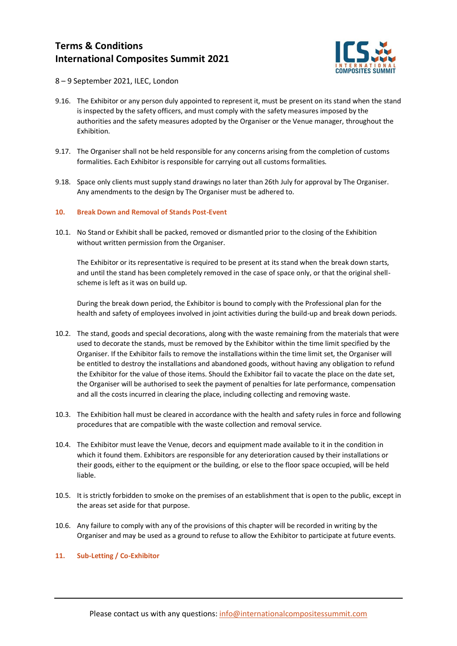

8 – 9 September 2021, ILEC, London

- 9.16. The Exhibitor or any person duly appointed to represent it, must be present on its stand when the stand is inspected by the safety officers, and must comply with the safety measures imposed by the authorities and the safety measures adopted by the Organiser or the Venue manager, throughout the Exhibition.
- 9.17. The Organiser shall not be held responsible for any concerns arising from the completion of customs formalities. Each Exhibitor is responsible for carrying out all customs formalities.
- 9.18. Space only clients must supply stand drawings no later than 26th July for approval by The Organiser. Any amendments to the design by The Organiser must be adhered to.

#### **10. Break Down and Removal of Stands Post-Event**

10.1. No Stand or Exhibit shall be packed, removed or dismantled prior to the closing of the Exhibition without written permission from the Organiser.

The Exhibitor or its representative is required to be present at its stand when the break down starts, and until the stand has been completely removed in the case of space only, or that the original shellscheme is left as it was on build up.

During the break down period, the Exhibitor is bound to comply with the Professional plan for the health and safety of employees involved in joint activities during the build-up and break down periods.

- 10.2. The stand, goods and special decorations, along with the waste remaining from the materials that were used to decorate the stands, must be removed by the Exhibitor within the time limit specified by the Organiser. If the Exhibitor fails to remove the installations within the time limit set, the Organiser will be entitled to destroy the installations and abandoned goods, without having any obligation to refund the Exhibitor for the value of those items. Should the Exhibitor fail to vacate the place on the date set, the Organiser will be authorised to seek the payment of penalties for late performance, compensation and all the costs incurred in clearing the place, including collecting and removing waste.
- 10.3. The Exhibition hall must be cleared in accordance with the health and safety rules in force and following procedures that are compatible with the waste collection and removal service.
- 10.4. The Exhibitor must leave the Venue, decors and equipment made available to it in the condition in which it found them. Exhibitors are responsible for any deterioration caused by their installations or their goods, either to the equipment or the building, or else to the floor space occupied, will be held liable.
- 10.5. It is strictly forbidden to smoke on the premises of an establishment that is open to the public, except in the areas set aside for that purpose.
- 10.6. Any failure to comply with any of the provisions of this chapter will be recorded in writing by the Organiser and may be used as a ground to refuse to allow the Exhibitor to participate at future events.

#### **11. Sub-Letting / Co-Exhibitor**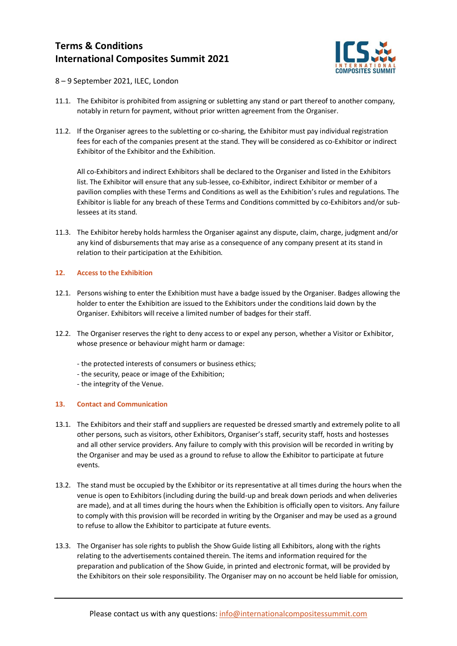

- 8 9 September 2021, ILEC, London
- 11.1. The Exhibitor is prohibited from assigning or subletting any stand or part thereof to another company, notably in return for payment, without prior written agreement from the Organiser.
- 11.2. If the Organiser agrees to the subletting or co-sharing, the Exhibitor must pay individual registration fees for each of the companies present at the stand. They will be considered as co-Exhibitor or indirect Exhibitor of the Exhibitor and the Exhibition.

All co-Exhibitors and indirect Exhibitors shall be declared to the Organiser and listed in the Exhibitors list. The Exhibitor will ensure that any sub-lessee, co-Exhibitor, indirect Exhibitor or member of a pavilion complies with these Terms and Conditions as well as the Exhibition's rules and regulations. The Exhibitor is liable for any breach of these Terms and Conditions committed by co-Exhibitors and/or sublessees at its stand.

11.3. The Exhibitor hereby holds harmless the Organiser against any dispute, claim, charge, judgment and/or any kind of disbursements that may arise as a consequence of any company present at its stand in relation to their participation at the Exhibition.

#### **12. Access to the Exhibition**

- 12.1. Persons wishing to enter the Exhibition must have a badge issued by the Organiser. Badges allowing the holder to enter the Exhibition are issued to the Exhibitors under the conditions laid down by the Organiser. Exhibitors will receive a limited number of badges for their staff.
- 12.2. The Organiser reserves the right to deny access to or expel any person, whether a Visitor or Exhibitor, whose presence or behaviour might harm or damage:
	- the protected interests of consumers or business ethics;
	- the security, peace or image of the Exhibition;
	- the integrity of the Venue.

### **13. Contact and Communication**

- 13.1. The Exhibitors and their staff and suppliers are requested be dressed smartly and extremely polite to all other persons, such as visitors, other Exhibitors, Organiser's staff, security staff, hosts and hostesses and all other service providers. Any failure to comply with this provision will be recorded in writing by the Organiser and may be used as a ground to refuse to allow the Exhibitor to participate at future events.
- 13.2. The stand must be occupied by the Exhibitor or its representative at all times during the hours when the venue is open to Exhibitors (including during the build-up and break down periods and when deliveries are made), and at all times during the hours when the Exhibition is officially open to visitors. Any failure to comply with this provision will be recorded in writing by the Organiser and may be used as a ground to refuse to allow the Exhibitor to participate at future events.
- 13.3. The Organiser has sole rights to publish the Show Guide listing all Exhibitors, along with the rights relating to the advertisements contained therein. The items and information required for the preparation and publication of the Show Guide, in printed and electronic format, will be provided by the Exhibitors on their sole responsibility. The Organiser may on no account be held liable for omission,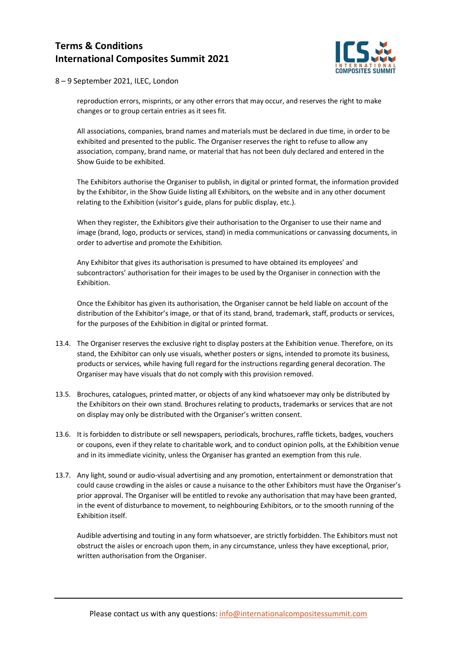

8 – 9 September 2021, ILEC, London

reproduction errors, misprints, or any other errors that may occur, and reserves the right to make changes or to group certain entries as it sees fit.

All associations, companies, brand names and materials must be declared in due time, in order to be exhibited and presented to the public. The Organiser reserves the right to refuse to allow any association, company, brand name, or material that has not been duly declared and entered in the Show Guide to be exhibited.

The Exhibitors authorise the Organiser to publish, in digital or printed format, the information provided by the Exhibitor, in the Show Guide listing all Exhibitors, on the website and in any other document relating to the Exhibition (visitor's guide, plans for public display, etc.).

When they register, the Exhibitors give their authorisation to the Organiser to use their name and image (brand, logo, products or services, stand) in media communications or canvassing documents, in order to advertise and promote the Exhibition.

Any Exhibitor that gives its authorisation is presumed to have obtained its employees' and subcontractors' authorisation for their images to be used by the Organiser in connection with the Exhibition.

Once the Exhibitor has given its authorisation, the Organiser cannot be held liable on account of the distribution of the Exhibitor's image, or that of its stand, brand, trademark, staff, products or services, for the purposes of the Exhibition in digital or printed format.

- 13.4. The Organiser reserves the exclusive right to display posters at the Exhibition venue. Therefore, on its stand, the Exhibitor can only use visuals, whether posters or signs, intended to promote its business, products or services, while having full regard for the instructions regarding general decoration. The Organiser may have visuals that do not comply with this provision removed.
- 13.5. Brochures, catalogues, printed matter, or objects of any kind whatsoever may only be distributed by the Exhibitors on their own stand. Brochures relating to products, trademarks or services that are not on display may only be distributed with the Organiser's written consent.
- 13.6. It is forbidden to distribute or sell newspapers, periodicals, brochures, raffle tickets, badges, vouchers or coupons, even if they relate to charitable work, and to conduct opinion polls, at the Exhibition venue and in its immediate vicinity, unless the Organiser has granted an exemption from this rule.
- 13.7. Any light, sound or audio-visual advertising and any promotion, entertainment or demonstration that could cause crowding in the aisles or cause a nuisance to the other Exhibitors must have the Organiser's prior approval. The Organiser will be entitled to revoke any authorisation that may have been granted, in the event of disturbance to movement, to neighbouring Exhibitors, or to the smooth running of the Exhibition itself.

Audible advertising and touting in any form whatsoever, are strictly forbidden. The Exhibitors must not obstruct the aisles or encroach upon them, in any circumstance, unless they have exceptional, prior, written authorisation from the Organiser.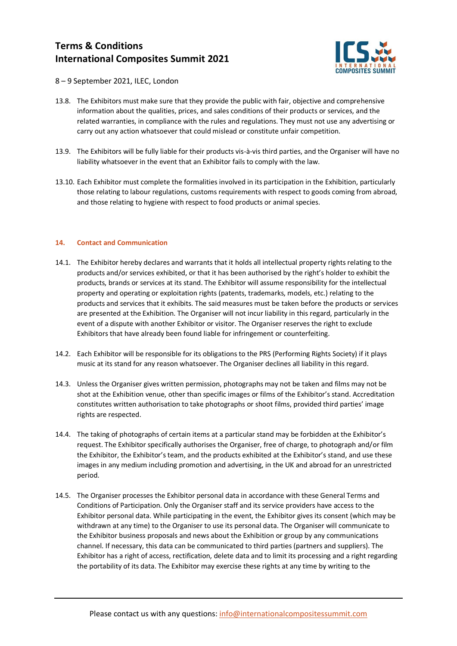

8 – 9 September 2021, ILEC, London

- 13.8. The Exhibitors must make sure that they provide the public with fair, objective and comprehensive information about the qualities, prices, and sales conditions of their products or services, and the related warranties, in compliance with the rules and regulations. They must not use any advertising or carry out any action whatsoever that could mislead or constitute unfair competition.
- 13.9. The Exhibitors will be fully liable for their products vis-à-vis third parties, and the Organiser will have no liability whatsoever in the event that an Exhibitor fails to comply with the law.
- 13.10. Each Exhibitor must complete the formalities involved in its participation in the Exhibition, particularly those relating to labour regulations, customs requirements with respect to goods coming from abroad, and those relating to hygiene with respect to food products or animal species.

#### **14. Contact and Communication**

- 14.1. The Exhibitor hereby declares and warrants that it holds all intellectual property rights relating to the products and/or services exhibited, or that it has been authorised by the right's holder to exhibit the products, brands or services at its stand. The Exhibitor will assume responsibility for the intellectual property and operating or exploitation rights (patents, trademarks, models, etc.) relating to the products and services that it exhibits. The said measures must be taken before the products or services are presented at the Exhibition. The Organiser will not incur liability in this regard, particularly in the event of a dispute with another Exhibitor or visitor. The Organiser reserves the right to exclude Exhibitors that have already been found liable for infringement or counterfeiting.
- 14.2. Each Exhibitor will be responsible for its obligations to the PRS (Performing Rights Society) if it plays music at its stand for any reason whatsoever. The Organiser declines all liability in this regard.
- 14.3. Unless the Organiser gives written permission, photographs may not be taken and films may not be shot at the Exhibition venue, other than specific images or films of the Exhibitor's stand. Accreditation constitutes written authorisation to take photographs or shoot films, provided third parties' image rights are respected.
- 14.4. The taking of photographs of certain items at a particular stand may be forbidden at the Exhibitor's request. The Exhibitor specifically authorises the Organiser, free of charge, to photograph and/or film the Exhibitor, the Exhibitor's team, and the products exhibited at the Exhibitor's stand, and use these images in any medium including promotion and advertising, in the UK and abroad for an unrestricted period.
- 14.5. The Organiser processes the Exhibitor personal data in accordance with these General Terms and Conditions of Participation. Only the Organiser staff and its service providers have access to the Exhibitor personal data. While participating in the event, the Exhibitor gives its consent (which may be withdrawn at any time) to the Organiser to use its personal data. The Organiser will communicate to the Exhibitor business proposals and news about the Exhibition or group by any communications channel. If necessary, this data can be communicated to third parties (partners and suppliers). The Exhibitor has a right of access, rectification, delete data and to limit its processing and a right regarding the portability of its data. The Exhibitor may exercise these rights at any time by writing to the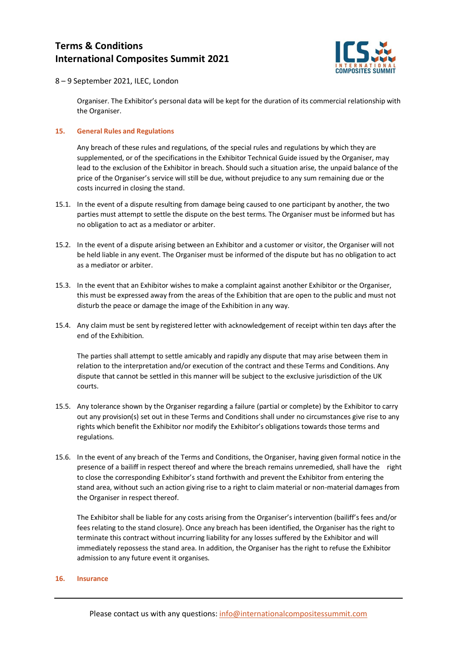

8 – 9 September 2021, ILEC, London

Organiser. The Exhibitor's personal data will be kept for the duration of its commercial relationship with the Organiser.

#### **15. General Rules and Regulations**

Any breach of these rules and regulations, of the special rules and regulations by which they are supplemented, or of the specifications in the Exhibitor Technical Guide issued by the Organiser, may lead to the exclusion of the Exhibitor in breach. Should such a situation arise, the unpaid balance of the price of the Organiser's service will still be due, without prejudice to any sum remaining due or the costs incurred in closing the stand.

- 15.1. In the event of a dispute resulting from damage being caused to one participant by another, the two parties must attempt to settle the dispute on the best terms. The Organiser must be informed but has no obligation to act as a mediator or arbiter.
- 15.2. In the event of a dispute arising between an Exhibitor and a customer or visitor, the Organiser will not be held liable in any event. The Organiser must be informed of the dispute but has no obligation to act as a mediator or arbiter.
- 15.3. In the event that an Exhibitor wishes to make a complaint against another Exhibitor or the Organiser, this must be expressed away from the areas of the Exhibition that are open to the public and must not disturb the peace or damage the image of the Exhibition in any way.
- 15.4. Any claim must be sent by registered letter with acknowledgement of receipt within ten days after the end of the Exhibition.

The parties shall attempt to settle amicably and rapidly any dispute that may arise between them in relation to the interpretation and/or execution of the contract and these Terms and Conditions. Any dispute that cannot be settled in this manner will be subject to the exclusive jurisdiction of the UK courts.

- 15.5. Any tolerance shown by the Organiser regarding a failure (partial or complete) by the Exhibitor to carry out any provision(s) set out in these Terms and Conditions shall under no circumstances give rise to any rights which benefit the Exhibitor nor modify the Exhibitor's obligations towards those terms and regulations.
- 15.6. In the event of any breach of the Terms and Conditions, the Organiser, having given formal notice in the presence of a bailiff in respect thereof and where the breach remains unremedied, shall have the right to close the corresponding Exhibitor's stand forthwith and prevent the Exhibitor from entering the stand area, without such an action giving rise to a right to claim material or non-material damages from the Organiser in respect thereof.

The Exhibitor shall be liable for any costs arising from the Organiser's intervention (bailiff's fees and/or fees relating to the stand closure). Once any breach has been identified, the Organiser has the right to terminate this contract without incurring liability for any losses suffered by the Exhibitor and will immediately repossess the stand area. In addition, the Organiser has the right to refuse the Exhibitor admission to any future event it organises.

#### **16. Insurance**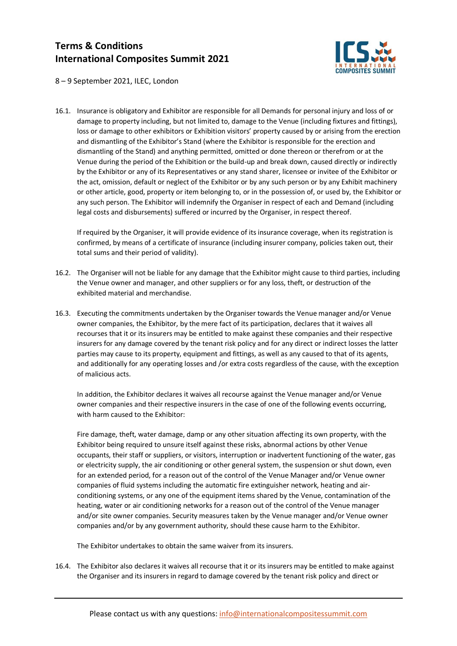

8 – 9 September 2021, ILEC, London

16.1. Insurance is obligatory and Exhibitor are responsible for all Demands for personal injury and loss of or damage to property including, but not limited to, damage to the Venue (including fixtures and fittings), loss or damage to other exhibitors or Exhibition visitors' property caused by or arising from the erection and dismantling of the Exhibitor's Stand (where the Exhibitor is responsible for the erection and dismantling of the Stand) and anything permitted, omitted or done thereon or therefrom or at the Venue during the period of the Exhibition or the build-up and break down, caused directly or indirectly by the Exhibitor or any of its Representatives or any stand sharer, licensee or invitee of the Exhibitor or the act, omission, default or neglect of the Exhibitor or by any such person or by any Exhibit machinery or other article, good, property or item belonging to, or in the possession of, or used by, the Exhibitor or any such person. The Exhibitor will indemnify the Organiser in respect of each and Demand (including legal costs and disbursements) suffered or incurred by the Organiser, in respect thereof.

If required by the Organiser, it will provide evidence of its insurance coverage, when its registration is confirmed, by means of a certificate of insurance (including insurer company, policies taken out, their total sums and their period of validity).

- 16.2. The Organiser will not be liable for any damage that the Exhibitor might cause to third parties, including the Venue owner and manager, and other suppliers or for any loss, theft, or destruction of the exhibited material and merchandise.
- 16.3. Executing the commitments undertaken by the Organiser towards the Venue manager and/or Venue owner companies, the Exhibitor, by the mere fact of its participation, declares that it waives all recourses that it or its insurers may be entitled to make against these companies and their respective insurers for any damage covered by the tenant risk policy and for any direct or indirect losses the latter parties may cause to its property, equipment and fittings, as well as any caused to that of its agents, and additionally for any operating losses and /or extra costs regardless of the cause, with the exception of malicious acts.

In addition, the Exhibitor declares it waives all recourse against the Venue manager and/or Venue owner companies and their respective insurers in the case of one of the following events occurring, with harm caused to the Exhibitor:

Fire damage, theft, water damage, damp or any other situation affecting its own property, with the Exhibitor being required to unsure itself against these risks, abnormal actions by other Venue occupants, their staff or suppliers, or visitors, interruption or inadvertent functioning of the water, gas or electricity supply, the air conditioning or other general system, the suspension or shut down, even for an extended period, for a reason out of the control of the Venue Manager and/or Venue owner companies of fluid systems including the automatic fire extinguisher network, heating and airconditioning systems, or any one of the equipment items shared by the Venue, contamination of the heating, water or air conditioning networks for a reason out of the control of the Venue manager and/or site owner companies. Security measures taken by the Venue manager and/or Venue owner companies and/or by any government authority, should these cause harm to the Exhibitor.

The Exhibitor undertakes to obtain the same waiver from its insurers.

16.4. The Exhibitor also declares it waives all recourse that it or its insurers may be entitled to make against the Organiser and its insurers in regard to damage covered by the tenant risk policy and direct or